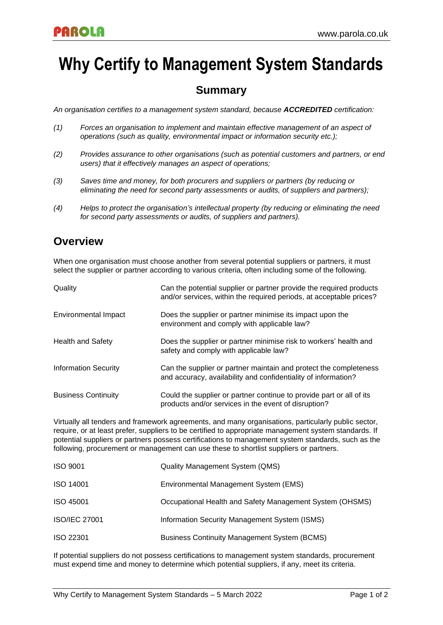# **Why Certify to Management System Standards**

## **Summary**

*An organisation certifies to a management system standard, because ACCREDITED certification:*

- *(1) Forces an organisation to implement and maintain effective management of an aspect of operations (such as quality, environmental impact or information security etc.);*
- *(2) Provides assurance to other organisations (such as potential customers and partners, or end users) that it effectively manages an aspect of operations;*
- *(3) Saves time and money, for both procurers and suppliers or partners (by reducing or eliminating the need for second party assessments or audits, of suppliers and partners);*
- *(4) Helps to protect the organisation's intellectual property (by reducing or eliminating the need for second party assessments or audits, of suppliers and partners).*

### **Overview**

When one organisation must choose another from several potential suppliers or partners, it must select the supplier or partner according to various criteria, often including some of the following.

| Quality                     | Can the potential supplier or partner provide the required products<br>and/or services, within the required periods, at acceptable prices? |
|-----------------------------|--------------------------------------------------------------------------------------------------------------------------------------------|
| Environmental Impact        | Does the supplier or partner minimise its impact upon the<br>environment and comply with applicable law?                                   |
| <b>Health and Safety</b>    | Does the supplier or partner minimise risk to workers' health and<br>safety and comply with applicable law?                                |
| <b>Information Security</b> | Can the supplier or partner maintain and protect the completeness<br>and accuracy, availability and confidentiality of information?        |
| <b>Business Continuity</b>  | Could the supplier or partner continue to provide part or all of its<br>products and/or services in the event of disruption?               |

Virtually all tenders and framework agreements, and many organisations, particularly public sector, require, or at least prefer, suppliers to be certified to appropriate management system standards. If potential suppliers or partners possess certifications to management system standards, such as the following, procurement or management can use these to shortlist suppliers or partners.

| <b>ISO 9001</b>      | <b>Quality Management System (QMS)</b>                   |
|----------------------|----------------------------------------------------------|
| <b>ISO 14001</b>     | Environmental Management System (EMS)                    |
| <b>ISO 45001</b>     | Occupational Health and Safety Management System (OHSMS) |
| <b>ISO/IEC 27001</b> | Information Security Management System (ISMS)            |
| <b>ISO 22301</b>     | <b>Business Continuity Management System (BCMS)</b>      |

If potential suppliers do not possess certifications to management system standards, procurement must expend time and money to determine which potential suppliers, if any, meet its criteria.